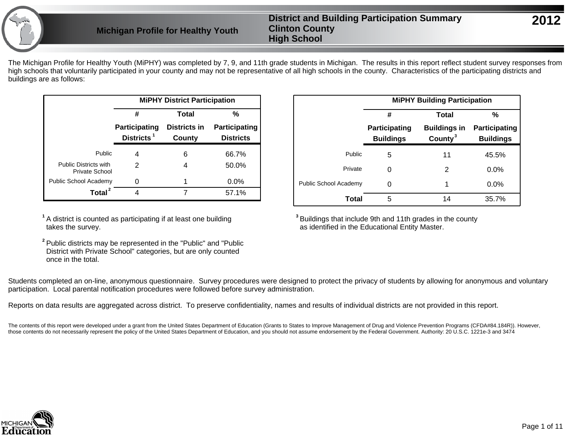The Michigan Profile for Healthy Youth (MiPHY) was completed by 7, 9, and 11th grade students in Michigan. The results in this report reflect student survey responses from high schools that voluntarily participated in your county and may not be representative of all high schools in the county. Characteristics of the participating districts and buildings are as follows:

|                                                |                                   | <b>MiPHY District Participation</b> |                                   |
|------------------------------------------------|-----------------------------------|-------------------------------------|-----------------------------------|
|                                                | #                                 | Total                               | %                                 |
|                                                | Participating<br><b>Districts</b> | Districts in<br>County              | Participating<br><b>Districts</b> |
| Public                                         | 4                                 | 6                                   | 66.7%                             |
| <b>Public Districts with</b><br>Private School | 2                                 | 4                                   | 50.0%                             |
| Public School Academy                          |                                   |                                     | $0.0\%$                           |
| Total                                          |                                   |                                     | 57.1%                             |

**1** A district is counted as participating if at least one building takes the survey.

**2** Public districts may be represented in the "Public" and "Public District with Private School" categories, but are only counted once in the total.

|                              |                                          | <b>MiPHY Building Participation</b>        |                                   |
|------------------------------|------------------------------------------|--------------------------------------------|-----------------------------------|
|                              | #                                        | Total                                      | %                                 |
|                              | <b>Participating</b><br><b>Buildings</b> | <b>Buildings in</b><br>County <sup>3</sup> | Participating<br><b>Buildings</b> |
| Public                       | 5                                        | 11                                         | 45.5%                             |
| Private                      | 0                                        | 2                                          | 0.0%                              |
| <b>Public School Academy</b> | 0                                        | 1                                          | 0.0%                              |
| Total                        | 5                                        | 14                                         | 35.7%                             |

**3** Buildings that include 9th and 11th grades in the county as identified in the Educational Entity Master.

Students completed an on-line, anonymous questionnaire. Survey procedures were designed to protect the privacy of students by allowing for anonymous and voluntary participation. Local parental notification procedures were followed before survey administration.

Reports on data results are aggregated across district. To preserve confidentiality, names and results of individual districts are not provided in this report.

The contents of this report were developed under a grant from the United States Department of Education (Grants to States to Improve Management of Drug and Violence Prevention Programs (CFDA#84.184R)). However, those contents do not necessarily represent the policy of the United States Department of Education, and you should not assume endorsement by the Federal Government. Authority: 20 U.S.C. 1221e-3 and 3474

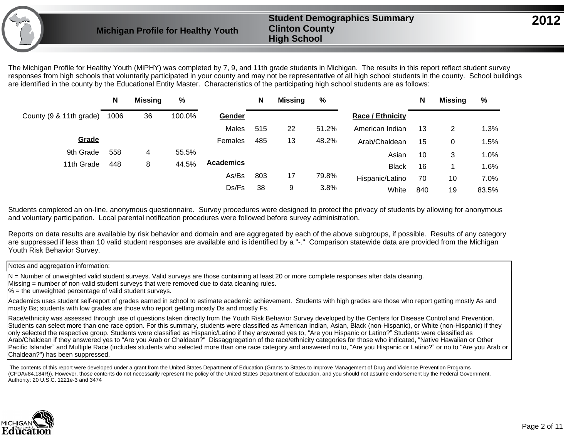The Michigan Profile for Healthy Youth (MiPHY) was completed by 7, 9, and 11th grade students in Michigan. The results in this report reflect student survey responses from high schools that voluntarily participated in your county and may not be representative of all high school students in the county. School buildings are identified in the county by the Educational Entity Master. Characteristics of the participating high school students are as follows:

|                         | N    | <b>Missing</b> | %      |                  | N   | <b>Missing</b> | %     |                         | N   | <b>Missing</b> | %     |
|-------------------------|------|----------------|--------|------------------|-----|----------------|-------|-------------------------|-----|----------------|-------|
| County (9 & 11th grade) | 1006 | 36             | 100.0% | Gender           |     |                |       | <b>Race / Ethnicity</b> |     |                |       |
|                         |      |                |        | Males            | 515 | 22             | 51.2% | American Indian         | 13  | 2              | 1.3%  |
| Grade                   |      |                |        | Females          | 485 | 13             | 48.2% | Arab/Chaldean           | 15  | 0              | 1.5%  |
| 9th Grade               | 558  | 4              | 55.5%  |                  |     |                |       | Asian                   | 10  | 3              | 1.0%  |
| 11th Grade              | 448  | 8              | 44.5%  | <b>Academics</b> |     |                |       | <b>Black</b>            | 16  |                | 1.6%  |
|                         |      |                |        | As/Bs            | 803 | 17             | 79.8% | Hispanic/Latino         | 70  | 10             | 7.0%  |
|                         |      |                |        | Ds/Fs            | 38  | 9              | 3.8%  | White                   | 840 | 19             | 83.5% |

Students completed an on-line, anonymous questionnaire. Survey procedures were designed to protect the privacy of students by allowing for anonymous and voluntary participation. Local parental notification procedures were followed before survey administration.

Reports on data results are available by risk behavior and domain and are aggregated by each of the above subgroups, if possible. Results of any category are suppressed if less than 10 valid student responses are available and is identified by a "-." Comparison statewide data are provided from the Michigan Youth Risk Behavior Survey.

Notes and aggregation information:

N = Number of unweighted valid student surveys. Valid surveys are those containing at least 20 or more complete responses after data cleaning.

Missing = number of non-valid student surveys that were removed due to data cleaning rules.

 $% =$  the unweighted percentage of valid student surveys.

Academics uses student self-report of grades earned in school to estimate academic achievement. Students with high grades are those who report getting mostly As and mostly Bs; students with low grades are those who report getting mostly Ds and mostly Fs.

Race/ethnicity was assessed through use of questions taken directly from the Youth Risk Behavior Survey developed by the Centers for Disease Control and Prevention. Students can select more than one race option. For this summary, students were classified as American Indian, Asian, Black (non-Hispanic), or White (non-Hispanic) if they only selected the respective group. Students were classified as Hispanic/Latino if they answered yes to, "Are you Hispanic or Latino?" Students were classified as Arab/Chaldean if they answered yes to "Are you Arab or Chaldean?" Dissaggregation of the race/ethnicity categories for those who indicated, "Native Hawaiian or Other Pacific Islander" and Multiple Race (includes students who selected more than one race category and answered no to, "Are you Hispanic or Latino?" or no to "Are you Arab or Chaldean?") has been suppressed.

 The contents of this report were developed under a grant from the United States Department of Education (Grants to States to Improve Management of Drug and Violence Prevention Programs (CFDA#84.184R)). However, those contents do not necessarily represent the policy of the United States Department of Education, and you should not assume endorsement by the Federal Government. Authority: 20 U.S.C. 1221e-3 and 3474

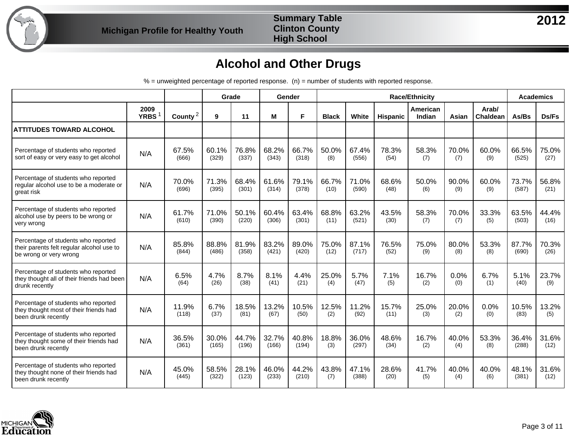

#### **Summary Table Clinton County High School**

# **Alcohol and Other Drugs**

|                                                                                                            |                           |                     |                | Grade          |                | Gender         |               |                |               | <b>Race/Ethnicity</b> |              |                   |                | <b>Academics</b> |
|------------------------------------------------------------------------------------------------------------|---------------------------|---------------------|----------------|----------------|----------------|----------------|---------------|----------------|---------------|-----------------------|--------------|-------------------|----------------|------------------|
|                                                                                                            | 2009<br>YRBS <sup>1</sup> | County <sup>2</sup> | 9              | 11             | M              | F              | <b>Black</b>  | White          | Hispanic      | American<br>Indian    | Asian        | Arab/<br>Chaldean | As/Bs          | Ds/Fs            |
| <b>ATTITUDES TOWARD ALCOHOL</b>                                                                            |                           |                     |                |                |                |                |               |                |               |                       |              |                   |                |                  |
| Percentage of students who reported<br>sort of easy or very easy to get alcohol                            | N/A                       | 67.5%<br>(666)      | 60.1%<br>(329) | 76.8%<br>(337) | 68.2%<br>(343) | 66.7%<br>(318) | 50.0%<br>(8)  | 67.4%<br>(556) | 78.3%<br>(54) | 58.3%<br>(7)          | 70.0%<br>(7) | 60.0%<br>(9)      | 66.5%<br>(525) | 75.0%<br>(27)    |
| Percentage of students who reported<br>regular alcohol use to be a moderate or<br>great risk               | N/A                       | 70.0%<br>(696)      | 71.3%<br>(395) | 68.4%<br>(301) | 61.6%<br>(314) | 79.1%<br>(378) | 66.7%<br>(10) | 71.0%<br>(590) | 68.6%<br>(48) | 50.0%<br>(6)          | 90.0%<br>(9) | 60.0%<br>(9)      | 73.7%<br>(587) | 56.8%<br>(21)    |
| Percentage of students who reported<br>alcohol use by peers to be wrong or<br>very wrong                   | N/A                       | 61.7%<br>(610)      | 71.0%<br>(390) | 50.1%<br>(220) | 60.4%<br>(306) | 63.4%<br>(301) | 68.8%<br>(11) | 63.2%<br>(521) | 43.5%<br>(30) | 58.3%<br>(7)          | 70.0%<br>(7) | 33.3%<br>(5)      | 63.5%<br>(503) | 44.4%<br>(16)    |
| Percentage of students who reported<br>their parents felt regular alcohol use to<br>be wrong or very wrong | N/A                       | 85.8%<br>(844)      | 88.8%<br>(486) | 81.9%<br>(358) | 83.2%<br>(421) | 89.0%<br>(420) | 75.0%<br>(12) | 87.1%<br>(717) | 76.5%<br>(52) | 75.0%<br>(9)          | 80.0%<br>(8) | 53.3%<br>(8)      | 87.7%<br>(690) | 70.3%<br>(26)    |
| Percentage of students who reported<br>they thought all of their friends had been<br>drunk recently        | N/A                       | 6.5%<br>(64)        | 4.7%<br>(26)   | 8.7%<br>(38)   | 8.1%<br>(41)   | 4.4%<br>(21)   | 25.0%<br>(4)  | 5.7%<br>(47)   | 7.1%<br>(5)   | 16.7%<br>(2)          | 0.0%<br>(0)  | 6.7%<br>(1)       | 5.1%<br>(40)   | 23.7%<br>(9)     |
| Percentage of students who reported<br>they thought most of their friends had<br>been drunk recently       | N/A                       | 11.9%<br>(118)      | 6.7%<br>(37)   | 18.5%<br>(81)  | 13.2%<br>(67)  | 10.5%<br>(50)  | 12.5%<br>(2)  | 11.2%<br>(92)  | 15.7%<br>(11) | 25.0%<br>(3)          | 20.0%<br>(2) | 0.0%<br>(0)       | 10.5%<br>(83)  | 13.2%<br>(5)     |
| Percentage of students who reported<br>they thought some of their friends had<br>been drunk recently       | N/A                       | 36.5%<br>(361)      | 30.0%<br>(165) | 44.7%<br>(196) | 32.7%<br>(166) | 40.8%<br>(194) | 18.8%<br>(3)  | 36.0%<br>(297) | 48.6%<br>(34) | 16.7%<br>(2)          | 40.0%<br>(4) | 53.3%<br>(8)      | 36.4%<br>(288) | 31.6%<br>(12)    |
| Percentage of students who reported<br>they thought none of their friends had<br>been drunk recently       | N/A                       | 45.0%<br>(445)      | 58.5%<br>(322) | 28.1%<br>(123) | 46.0%<br>(233) | 44.2%<br>(210) | 43.8%<br>(7)  | 47.1%<br>(388) | 28.6%<br>(20) | 41.7%<br>(5)          | 40.0%<br>(4) | 40.0%<br>(6)      | 48.1%<br>(381) | 31.6%<br>(12)    |

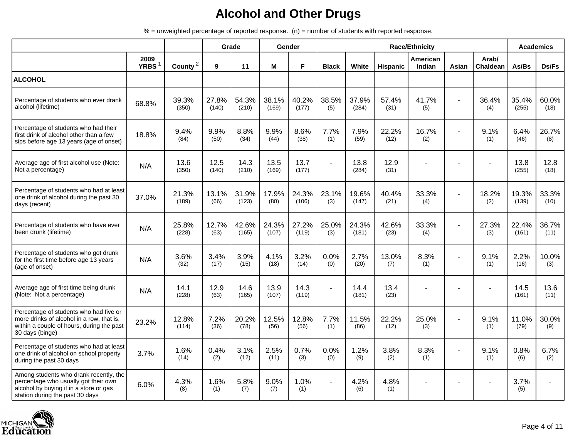|                                                                                                                                                             |                     |                     |                | Grade          |                | <b>Gender</b>  |                |                |                 | <b>Race/Ethnicity</b> |                |                          | <b>Academics</b> |               |
|-------------------------------------------------------------------------------------------------------------------------------------------------------------|---------------------|---------------------|----------------|----------------|----------------|----------------|----------------|----------------|-----------------|-----------------------|----------------|--------------------------|------------------|---------------|
|                                                                                                                                                             | 2009<br><b>YRBS</b> | County <sup>2</sup> | 9              | 11             | M              | F.             | <b>Black</b>   | White          | <b>Hispanic</b> | American<br>Indian    | Asian          | Arab/<br><b>Chaldean</b> | As/Bs            | Ds/Fs         |
| <b>ALCOHOL</b>                                                                                                                                              |                     |                     |                |                |                |                |                |                |                 |                       |                |                          |                  |               |
| Percentage of students who ever drank<br>alcohol (lifetime)                                                                                                 | 68.8%               | 39.3%<br>(350)      | 27.8%<br>(140) | 54.3%<br>(210) | 38.1%<br>(169) | 40.2%<br>(177) | 38.5%<br>(5)   | 37.9%<br>(284) | 57.4%<br>(31)   | 41.7%<br>(5)          |                | 36.4%<br>(4)             | 35.4%<br>(255)   | 60.0%<br>(18) |
| Percentage of students who had their<br>first drink of alcohol other than a few<br>sips before age 13 years (age of onset)                                  | 18.8%               | 9.4%<br>(84)        | 9.9%<br>(50)   | 8.8%<br>(34)   | 9.9%<br>(44)   | 8.6%<br>(38)   | 7.7%<br>(1)    | 7.9%<br>(59)   | 22.2%<br>(12)   | 16.7%<br>(2)          |                | 9.1%<br>(1)              | 6.4%<br>(46)     | 26.7%<br>(8)  |
| Average age of first alcohol use (Note:<br>Not a percentage)                                                                                                | N/A                 | 13.6<br>(350)       | 12.5<br>(140)  | 14.3<br>(210)  | 13.5<br>(169)  | 13.7<br>(177)  | $\sim$         | 13.8<br>(284)  | 12.9<br>(31)    |                       |                |                          | 13.8<br>(255)    | 12.8<br>(18)  |
| Percentage of students who had at least<br>one drink of alcohol during the past 30<br>days (recent)                                                         | 37.0%               | 21.3%<br>(189)      | 13.1%<br>(66)  | 31.9%<br>(123) | 17.9%<br>(80)  | 24.3%<br>(106) | 23.1%<br>(3)   | 19.6%<br>(147) | 40.4%<br>(21)   | 33.3%<br>(4)          |                | 18.2%<br>(2)             | 19.3%<br>(139)   | 33.3%<br>(10) |
| Percentage of students who have ever<br>been drunk (lifetime)                                                                                               | N/A                 | 25.8%<br>(228)      | 12.7%<br>(63)  | 42.6%<br>(165) | 24.3%<br>(107) | 27.2%<br>(119) | 25.0%<br>(3)   | 24.3%<br>(181) | 42.6%<br>(23)   | 33.3%<br>(4)          | $\blacksquare$ | 27.3%<br>(3)             | 22.4%<br>(161)   | 36.7%<br>(11) |
| Percentage of students who got drunk<br>for the first time before age 13 years<br>(age of onset)                                                            | N/A                 | 3.6%<br>(32)        | 3.4%<br>(17)   | 3.9%<br>(15)   | 4.1%<br>(18)   | 3.2%<br>(14)   | 0.0%<br>(0)    | 2.7%<br>(20)   | 13.0%<br>(7)    | 8.3%<br>(1)           |                | 9.1%<br>(1)              | 2.2%<br>(16)     | 10.0%<br>(3)  |
| Average age of first time being drunk<br>(Note: Not a percentage)                                                                                           | N/A                 | 14.1<br>(228)       | 12.9<br>(63)   | 14.6<br>(165)  | 13.9<br>(107)  | 14.3<br>(119)  | $\blacksquare$ | 14.4<br>(181)  | 13.4<br>(23)    |                       |                |                          | 14.5<br>(161)    | 13.6<br>(11)  |
| Percentage of students who had five or<br>more drinks of alcohol in a row, that is,<br>within a couple of hours, during the past<br>30 days (binge)         | 23.2%               | 12.8%<br>(114)      | 7.2%<br>(36)   | 20.2%<br>(78)  | 12.5%<br>(56)  | 12.8%<br>(56)  | 7.7%<br>(1)    | 11.5%<br>(86)  | 22.2%<br>(12)   | 25.0%<br>(3)          |                | 9.1%<br>(1)              | 11.0%<br>(79)    | 30.0%<br>(9)  |
| Percentage of students who had at least<br>one drink of alcohol on school property<br>during the past 30 days                                               | 3.7%                | 1.6%<br>(14)        | 0.4%<br>(2)    | 3.1%<br>(12)   | 2.5%<br>(11)   | 0.7%<br>(3)    | 0.0%<br>(0)    | 1.2%<br>(9)    | 3.8%<br>(2)     | 8.3%<br>(1)           |                | 9.1%<br>(1)              | 0.8%<br>(6)      | 6.7%<br>(2)   |
| Among students who drank recently, the<br>percentage who usually got their own<br>alcohol by buying it in a store or gas<br>station during the past 30 days | 6.0%                | 4.3%<br>(8)         | 1.6%<br>(1)    | 5.8%<br>(7)    | 9.0%<br>(7)    | 1.0%<br>(1)    |                | 4.2%<br>(6)    | 4.8%<br>(1)     |                       |                |                          | 3.7%<br>(5)      |               |

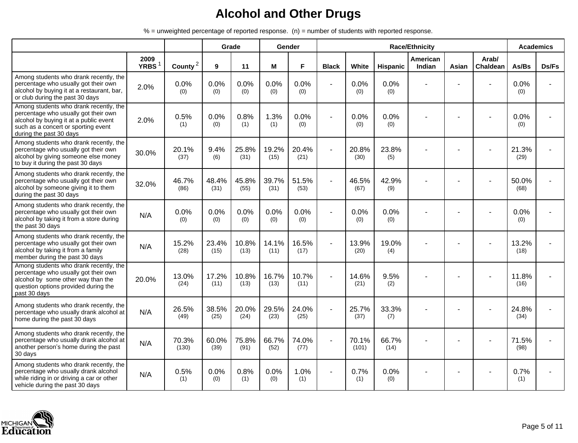|                                                                                                                                                                                            |                           |                |               | Grade         |               | Gender        |                |                |                 | <b>Race/Ethnicity</b> |       |                          | <b>Academics</b> |       |
|--------------------------------------------------------------------------------------------------------------------------------------------------------------------------------------------|---------------------------|----------------|---------------|---------------|---------------|---------------|----------------|----------------|-----------------|-----------------------|-------|--------------------------|------------------|-------|
|                                                                                                                                                                                            | 2009<br>YRBS <sup>1</sup> | County $^2$    | 9             | 11            | M             | F             | <b>Black</b>   | White          | <b>Hispanic</b> | American<br>Indian    | Asian | Arab/<br><b>Chaldean</b> | As/Bs            | Ds/Fs |
| Among students who drank recently, the<br>percentage who usually got their own<br>alcohol by buying it at a restaurant, bar,<br>or club during the past 30 days                            | 2.0%                      | 0.0%<br>(0)    | 0.0%<br>(0)   | 0.0%<br>(0)   | 0.0%<br>(0)   | 0.0%<br>(0)   | ä,             | 0.0%<br>(0)    | 0.0%<br>(0)     |                       |       |                          | 0.0%<br>(0)      |       |
| Among students who drank recently, the<br>percentage who usually got their own<br>alcohol by buying it at a public event<br>such as a concert or sporting event<br>during the past 30 days | 2.0%                      | 0.5%<br>(1)    | 0.0%<br>(0)   | 0.8%<br>(1)   | 1.3%<br>(1)   | 0.0%<br>(0)   | ä,             | 0.0%<br>(0)    | 0.0%<br>(0)     |                       |       |                          | 0.0%<br>(0)      |       |
| Among students who drank recently, the<br>percentage who usually got their own<br>alcohol by giving someone else money<br>to buy it during the past 30 days                                | 30.0%                     | 20.1%<br>(37)  | 9.4%<br>(6)   | 25.8%<br>(31) | 19.2%<br>(15) | 20.4%<br>(21) | $\blacksquare$ | 20.8%<br>(30)  | 23.8%<br>(5)    |                       |       |                          | 21.3%<br>(29)    |       |
| Among students who drank recently, the<br>percentage who usually got their own<br>alcohol by someone giving it to them<br>during the past 30 days                                          | 32.0%                     | 46.7%<br>(86)  | 48.4%<br>(31) | 45.8%<br>(55) | 39.7%<br>(31) | 51.5%<br>(53) |                | 46.5%<br>(67)  | 42.9%<br>(9)    |                       |       |                          | 50.0%<br>(68)    |       |
| Among students who drank recently, the<br>percentage who usually got their own<br>alcohol by taking it from a store during<br>the past 30 days                                             | N/A                       | 0.0%<br>(0)    | 0.0%<br>(0)   | 0.0%<br>(0)   | 0.0%<br>(0)   | 0.0%<br>(0)   | ÷,             | 0.0%<br>(0)    | 0.0%<br>(0)     |                       |       |                          | 0.0%<br>(0)      |       |
| Among students who drank recently, the<br>percentage who usually got their own<br>alcohol by taking it from a family<br>member during the past 30 days                                     | N/A                       | 15.2%<br>(28)  | 23.4%<br>(15) | 10.8%<br>(13) | 14.1%<br>(11) | 16.5%<br>(17) | ۰              | 13.9%<br>(20)  | 19.0%<br>(4)    |                       |       |                          | 13.2%<br>(18)    |       |
| Among students who drank recently, the<br>percentage who usually got their own<br>alcohol by some other way than the<br>question options provided during the<br>past 30 days               | 20.0%                     | 13.0%<br>(24)  | 17.2%<br>(11) | 10.8%<br>(13) | 16.7%<br>(13) | 10.7%<br>(11) | ä,             | 14.6%<br>(21)  | 9.5%<br>(2)     |                       |       |                          | 11.8%<br>(16)    |       |
| Among students who drank recently, the<br>percentage who usually drank alcohol at<br>home during the past 30 days                                                                          | N/A                       | 26.5%<br>(49)  | 38.5%<br>(25) | 20.0%<br>(24) | 29.5%<br>(23) | 24.0%<br>(25) | ۰              | 25.7%<br>(37)  | 33.3%<br>(7)    |                       |       |                          | 24.8%<br>(34)    |       |
| Among students who drank recently, the<br>percentage who usually drank alcohol at<br>another person's home during the past<br>30 days                                                      | N/A                       | 70.3%<br>(130) | 60.0%<br>(39) | 75.8%<br>(91) | 66.7%<br>(52) | 74.0%<br>(77) |                | 70.1%<br>(101) | 66.7%<br>(14)   |                       |       |                          | 71.5%<br>(98)    |       |
| Among students who drank recently, the<br>percentage who usually drank alcohol<br>while riding in or driving a car or other<br>vehicle during the past 30 days                             | N/A                       | 0.5%<br>(1)    | 0.0%<br>(0)   | 0.8%<br>(1)   | 0.0%<br>(0)   | 1.0%<br>(1)   |                | 0.7%<br>(1)    | 0.0%<br>(0)     |                       |       |                          | 0.7%<br>(1)      |       |

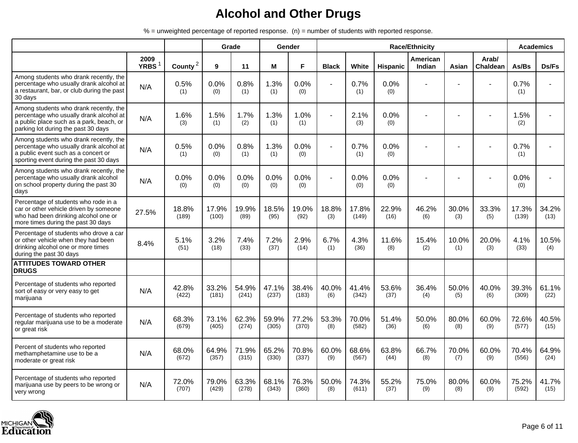|                                                                                                                                                                      |                     |                     |                | Grade          |                | Gender         |                |                |                 | <b>Race/Ethnicity</b>     |              |                          | <b>Academics</b> |               |
|----------------------------------------------------------------------------------------------------------------------------------------------------------------------|---------------------|---------------------|----------------|----------------|----------------|----------------|----------------|----------------|-----------------|---------------------------|--------------|--------------------------|------------------|---------------|
|                                                                                                                                                                      | 2009<br><b>YRBS</b> | County <sup>2</sup> | 9              | 11             | M              | F              | <b>Black</b>   | White          | <b>Hispanic</b> | American<br><b>Indian</b> | Asian        | Arab/<br><b>Chaldean</b> | As/Bs            | Ds/Fs         |
| Among students who drank recently, the<br>percentage who usually drank alcohol at<br>a restaurant, bar, or club during the past<br>30 days                           | N/A                 | 0.5%<br>(1)         | 0.0%<br>(0)    | 0.8%<br>(1)    | 1.3%<br>(1)    | 0.0%<br>(0)    | $\blacksquare$ | 0.7%<br>(1)    | 0.0%<br>(0)     |                           |              |                          | 0.7%<br>(1)      |               |
| Among students who drank recently, the<br>percentage who usually drank alcohol at<br>a public place such as a park, beach, or<br>parking lot during the past 30 days | N/A                 | 1.6%<br>(3)         | 1.5%<br>(1)    | 1.7%<br>(2)    | 1.3%<br>(1)    | 1.0%<br>(1)    |                | 2.1%<br>(3)    | 0.0%<br>(0)     |                           |              |                          | 1.5%<br>(2)      |               |
| Among students who drank recently, the<br>percentage who usually drank alcohol at<br>a public event such as a concert or<br>sporting event during the past 30 days   | N/A                 | 0.5%<br>(1)         | 0.0%<br>(0)    | 0.8%<br>(1)    | 1.3%<br>(1)    | 0.0%<br>(0)    |                | 0.7%<br>(1)    | 0.0%<br>(0)     |                           |              |                          | 0.7%<br>(1)      |               |
| Among students who drank recently, the<br>percentage who usually drank alcohol<br>on school property during the past 30<br>days                                      | N/A                 | 0.0%<br>(0)         | 0.0%<br>(0)    | 0.0%<br>(0)    | 0.0%<br>(0)    | 0.0%<br>(0)    | ٠              | 0.0%<br>(0)    | 0.0%<br>(0)     |                           |              |                          | 0.0%<br>(0)      |               |
| Percentage of students who rode in a<br>car or other vehicle driven by someone<br>who had been drinking alcohol one or<br>more times during the past 30 days         | 27.5%               | 18.8%<br>(189)      | 17.9%<br>(100) | 19.9%<br>(89)  | 18.5%<br>(95)  | 19.0%<br>(92)  | 18.8%<br>(3)   | 17.8%<br>(149) | 22.9%<br>(16)   | 46.2%<br>(6)              | 30.0%<br>(3) | 33.3%<br>(5)             | 17.3%<br>(139)   | 34.2%<br>(13) |
| Percentage of students who drove a car<br>or other vehicle when they had been<br>drinking alcohol one or more times<br>during the past 30 days                       | 8.4%                | 5.1%<br>(51)        | 3.2%<br>(18)   | 7.4%<br>(33)   | 7.2%<br>(37)   | 2.9%<br>(14)   | 6.7%<br>(1)    | 4.3%<br>(36)   | 11.6%<br>(8)    | 15.4%<br>(2)              | 10.0%<br>(1) | 20.0%<br>(3)             | 4.1%<br>(33)     | 10.5%<br>(4)  |
| <b>ATTITUDES TOWARD OTHER</b><br><b>DRUGS</b>                                                                                                                        |                     |                     |                |                |                |                |                |                |                 |                           |              |                          |                  |               |
| Percentage of students who reported<br>sort of easy or very easy to get<br>marijuana                                                                                 | N/A                 | 42.8%<br>(422)      | 33.2%<br>(181) | 54.9%<br>(241) | 47.1%<br>(237) | 38.4%<br>(183) | 40.0%<br>(6)   | 41.4%<br>(342) | 53.6%<br>(37)   | 36.4%<br>(4)              | 50.0%<br>(5) | 40.0%<br>(6)             | 39.3%<br>(309)   | 61.1%<br>(22) |
| Percentage of students who reported<br>regular marijuana use to be a moderate<br>or great risk                                                                       | N/A                 | 68.3%<br>(679)      | 73.1%<br>(405) | 62.3%<br>(274) | 59.9%<br>(305) | 77.2%<br>(370) | 53.3%<br>(8)   | 70.0%<br>(582) | 51.4%<br>(36)   | 50.0%<br>(6)              | 80.0%<br>(8) | 60.0%<br>(9)             | 72.6%<br>(577)   | 40.5%<br>(15) |
| Percent of students who reported<br>methamphetamine use to be a<br>moderate or great risk                                                                            | N/A                 | 68.0%<br>(672)      | 64.9%<br>(357) | 71.9%<br>(315) | 65.2%<br>(330) | 70.8%<br>(337) | 60.0%<br>(9)   | 68.6%<br>(567) | 63.8%<br>(44)   | 66.7%<br>(8)              | 70.0%<br>(7) | 60.0%<br>(9)             | 70.4%<br>(556)   | 64.9%<br>(24) |
| Percentage of students who reported<br>marijuana use by peers to be wrong or<br>very wrong                                                                           | N/A                 | 72.0%<br>(707)      | 79.0%<br>(429) | 63.3%<br>(278) | 68.1%<br>(343) | 76.3%<br>(360) | 50.0%<br>(8)   | 74.3%<br>(611) | 55.2%<br>(37)   | 75.0%<br>(9)              | 80.0%<br>(8) | 60.0%<br>(9)             | 75.2%<br>(592)   | 41.7%<br>(15) |

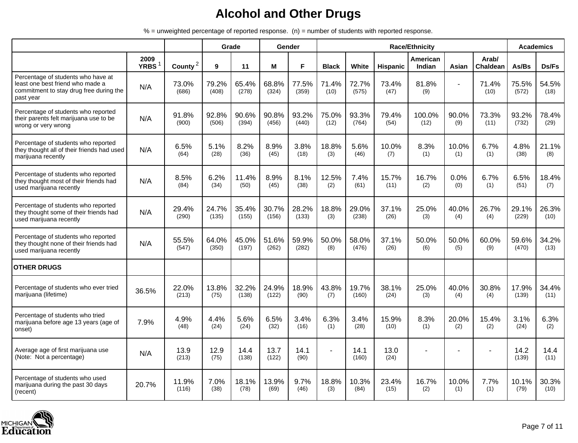|                                                                                                                                |                     |                     |                | Grade          |                | Gender         |                |                |                 | <b>Race/Ethnicity</b> |                |                   |                | <b>Academics</b> |
|--------------------------------------------------------------------------------------------------------------------------------|---------------------|---------------------|----------------|----------------|----------------|----------------|----------------|----------------|-----------------|-----------------------|----------------|-------------------|----------------|------------------|
|                                                                                                                                | 2009<br><b>YRBS</b> | County <sup>2</sup> | 9              | 11             | M              | F              | <b>Black</b>   | White          | <b>Hispanic</b> | American<br>Indian    | Asian          | Arab/<br>Chaldean | As/Bs          | Ds/Fs            |
| Percentage of students who have at<br>least one best friend who made a<br>commitment to stay drug free during the<br>past year | N/A                 | 73.0%<br>(686)      | 79.2%<br>(408) | 65.4%<br>(278) | 68.8%<br>(324) | 77.5%<br>(359) | 71.4%<br>(10)  | 72.7%<br>(575) | 73.4%<br>(47)   | 81.8%<br>(9)          | $\overline{a}$ | 71.4%<br>(10)     | 75.5%<br>(572) | 54.5%<br>(18)    |
| Percentage of students who reported<br>their parents felt marijuana use to be<br>wrong or very wrong                           | N/A                 | 91.8%<br>(900)      | 92.8%<br>(506) | 90.6%<br>(394) | 90.8%<br>(456) | 93.2%<br>(440) | 75.0%<br>(12)  | 93.3%<br>(764) | 79.4%<br>(54)   | 100.0%<br>(12)        | 90.0%<br>(9)   | 73.3%<br>(11)     | 93.2%<br>(732) | 78.4%<br>(29)    |
| Percentage of students who reported<br>they thought all of their friends had used<br>marijuana recently                        | N/A                 | 6.5%<br>(64)        | 5.1%<br>(28)   | 8.2%<br>(36)   | 8.9%<br>(45)   | 3.8%<br>(18)   | 18.8%<br>(3)   | 5.6%<br>(46)   | 10.0%<br>(7)    | 8.3%<br>(1)           | 10.0%<br>(1)   | 6.7%<br>(1)       | 4.8%<br>(38)   | 21.1%<br>(8)     |
| Percentage of students who reported<br>they thought most of their friends had<br>used marijuana recently                       | N/A                 | 8.5%<br>(84)        | 6.2%<br>(34)   | 11.4%<br>(50)  | 8.9%<br>(45)   | 8.1%<br>(38)   | 12.5%<br>(2)   | 7.4%<br>(61)   | 15.7%<br>(11)   | 16.7%<br>(2)          | 0.0%<br>(0)    | 6.7%<br>(1)       | 6.5%<br>(51)   | 18.4%<br>(7)     |
| Percentage of students who reported<br>they thought some of their friends had<br>used marijuana recently                       | N/A                 | 29.4%<br>(290)      | 24.7%<br>(135) | 35.4%<br>(155) | 30.7%<br>(156) | 28.2%<br>(133) | 18.8%<br>(3)   | 29.0%<br>(238) | 37.1%<br>(26)   | 25.0%<br>(3)          | 40.0%<br>(4)   | 26.7%<br>(4)      | 29.1%<br>(229) | 26.3%<br>(10)    |
| Percentage of students who reported<br>they thought none of their friends had<br>used marijuana recently                       | N/A                 | 55.5%<br>(547)      | 64.0%<br>(350) | 45.0%<br>(197) | 51.6%<br>(262) | 59.9%<br>(282) | 50.0%<br>(8)   | 58.0%<br>(476) | 37.1%<br>(26)   | 50.0%<br>(6)          | 50.0%<br>(5)   | 60.0%<br>(9)      | 59.6%<br>(470) | 34.2%<br>(13)    |
| <b>OTHER DRUGS</b>                                                                                                             |                     |                     |                |                |                |                |                |                |                 |                       |                |                   |                |                  |
| Percentage of students who ever tried<br>marijuana (lifetime)                                                                  | 36.5%               | 22.0%<br>(213)      | 13.8%<br>(75)  | 32.2%<br>(138) | 24.9%<br>(122) | 18.9%<br>(90)  | 43.8%<br>(7)   | 19.7%<br>(160) | 38.1%<br>(24)   | 25.0%<br>(3)          | 40.0%<br>(4)   | 30.8%<br>(4)      | 17.9%<br>(139) | 34.4%<br>(11)    |
| Percentage of students who tried<br>marijuana before age 13 years (age of<br>onset)                                            | 7.9%                | 4.9%<br>(48)        | 4.4%<br>(24)   | 5.6%<br>(24)   | 6.5%<br>(32)   | 3.4%<br>(16)   | 6.3%<br>(1)    | 3.4%<br>(28)   | 15.9%<br>(10)   | 8.3%<br>(1)           | 20.0%<br>(2)   | 15.4%<br>(2)      | 3.1%<br>(24)   | 6.3%<br>(2)      |
| Average age of first marijuana use<br>(Note: Not a percentage)                                                                 | N/A                 | 13.9<br>(213)       | 12.9<br>(75)   | 14.4<br>(138)  | 13.7<br>(122)  | 14.1<br>(90)   | $\overline{a}$ | 14.1<br>(160)  | 13.0<br>(24)    |                       |                |                   | 14.2<br>(139)  | 14.4<br>(11)     |
| Percentage of students who used<br>marijuana during the past 30 days<br>(recent)                                               | 20.7%               | 11.9%<br>(116)      | 7.0%<br>(38)   | 18.1%<br>(78)  | 13.9%<br>(69)  | 9.7%<br>(46)   | 18.8%<br>(3)   | 10.3%<br>(84)  | 23.4%<br>(15)   | 16.7%<br>(2)          | 10.0%<br>(1)   | 7.7%<br>(1)       | 10.1%<br>(79)  | 30.3%<br>(10)    |

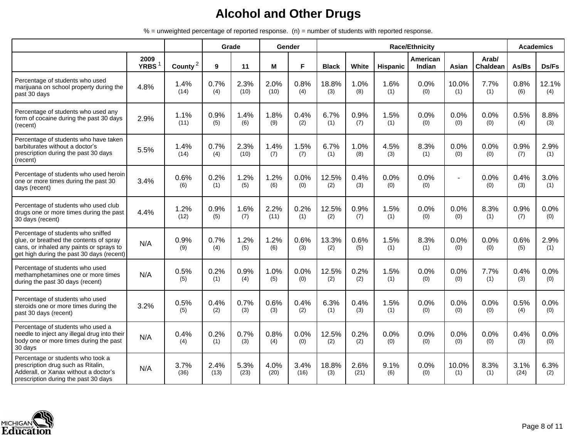|                                                                                                                                                                        |                     |                     |              | Grade        |              | Gender       |              |              |             | <b>Race/Ethnicity</b> |              |                   |              | <b>Academics</b> |
|------------------------------------------------------------------------------------------------------------------------------------------------------------------------|---------------------|---------------------|--------------|--------------|--------------|--------------|--------------|--------------|-------------|-----------------------|--------------|-------------------|--------------|------------------|
|                                                                                                                                                                        | 2009<br><b>YRBS</b> | County <sup>2</sup> | 9            | 11           | M            | F.           | <b>Black</b> | White        | Hispanic    | American<br>Indian    | Asian        | Arab/<br>Chaldean | As/Bs        | Ds/Fs            |
| Percentage of students who used<br>marijuana on school property during the<br>past 30 days                                                                             | 4.8%                | 1.4%<br>(14)        | 0.7%<br>(4)  | 2.3%<br>(10) | 2.0%<br>(10) | 0.8%<br>(4)  | 18.8%<br>(3) | 1.0%<br>(8)  | 1.6%<br>(1) | 0.0%<br>(0)           | 10.0%<br>(1) | 7.7%<br>(1)       | 0.8%<br>(6)  | 12.1%<br>(4)     |
| Percentage of students who used any<br>form of cocaine during the past 30 days<br>(recent)                                                                             | 2.9%                | 1.1%<br>(11)        | 0.9%<br>(5)  | 1.4%<br>(6)  | 1.8%<br>(9)  | 0.4%<br>(2)  | 6.7%<br>(1)  | 0.9%<br>(7)  | 1.5%<br>(1) | 0.0%<br>(0)           | 0.0%<br>(0)  | 0.0%<br>(0)       | 0.5%<br>(4)  | 8.8%<br>(3)      |
| Percentage of students who have taken<br>barbiturates without a doctor's<br>prescription during the past 30 days<br>(recent)                                           | 5.5%                | 1.4%<br>(14)        | 0.7%<br>(4)  | 2.3%<br>(10) | 1.4%<br>(7)  | 1.5%<br>(7)  | 6.7%<br>(1)  | 1.0%<br>(8)  | 4.5%<br>(3) | 8.3%<br>(1)           | 0.0%<br>(0)  | 0.0%<br>(0)       | 0.9%<br>(7)  | 2.9%<br>(1)      |
| Percentage of students who used heroin<br>one or more times during the past 30<br>days (recent)                                                                        | 3.4%                | 0.6%<br>(6)         | 0.2%<br>(1)  | 1.2%<br>(5)  | 1.2%<br>(6)  | 0.0%<br>(0)  | 12.5%<br>(2) | 0.4%<br>(3)  | 0.0%<br>(0) | 0.0%<br>(0)           |              | 0.0%<br>(0)       | 0.4%<br>(3)  | 3.0%<br>(1)      |
| Percentage of students who used club<br>drugs one or more times during the past<br>30 days (recent)                                                                    | 4.4%                | 1.2%<br>(12)        | 0.9%<br>(5)  | 1.6%<br>(7)  | 2.2%<br>(11) | 0.2%<br>(1)  | 12.5%<br>(2) | 0.9%<br>(7)  | 1.5%<br>(1) | 0.0%<br>(0)           | 0.0%<br>(0)  | 8.3%<br>(1)       | 0.9%<br>(7)  | 0.0%<br>(0)      |
| Percentage of students who sniffed<br>glue, or breathed the contents of spray<br>cans, or inhaled any paints or sprays to<br>get high during the past 30 days (recent) | N/A                 | 0.9%<br>(9)         | 0.7%<br>(4)  | 1.2%<br>(5)  | 1.2%<br>(6)  | 0.6%<br>(3)  | 13.3%<br>(2) | 0.6%<br>(5)  | 1.5%<br>(1) | 8.3%<br>(1)           | 0.0%<br>(0)  | 0.0%<br>(0)       | 0.6%<br>(5)  | 2.9%<br>(1)      |
| Percentage of students who used<br>methamphetamines one or more times<br>during the past 30 days (recent)                                                              | N/A                 | 0.5%<br>(5)         | 0.2%<br>(1)  | 0.9%<br>(4)  | 1.0%<br>(5)  | 0.0%<br>(0)  | 12.5%<br>(2) | 0.2%<br>(2)  | 1.5%<br>(1) | 0.0%<br>(0)           | 0.0%<br>(0)  | 7.7%<br>(1)       | 0.4%<br>(3)  | 0.0%<br>(0)      |
| Percentage of students who used<br>steroids one or more times during the<br>past 30 days (recent)                                                                      | 3.2%                | 0.5%<br>(5)         | 0.4%<br>(2)  | 0.7%<br>(3)  | 0.6%<br>(3)  | 0.4%<br>(2)  | 6.3%<br>(1)  | 0.4%<br>(3)  | 1.5%<br>(1) | 0.0%<br>(0)           | 0.0%<br>(0)  | 0.0%<br>(0)       | 0.5%<br>(4)  | 0.0%<br>(0)      |
| Percentage of students who used a<br>needle to inject any illegal drug into their<br>body one or more times during the past<br>30 days                                 | N/A                 | 0.4%<br>(4)         | 0.2%<br>(1)  | 0.7%<br>(3)  | 0.8%<br>(4)  | 0.0%<br>(0)  | 12.5%<br>(2) | 0.2%<br>(2)  | 0.0%<br>(0) | 0.0%<br>(0)           | 0.0%<br>(0)  | 0.0%<br>(0)       | 0.4%<br>(3)  | 0.0%<br>(0)      |
| Percentage or students who took a<br>prescription drug such as Ritalin,<br>Adderall, or Xanax without a doctor's<br>prescription during the past 30 days               | N/A                 | 3.7%<br>(36)        | 2.4%<br>(13) | 5.3%<br>(23) | 4.0%<br>(20) | 3.4%<br>(16) | 18.8%<br>(3) | 2.6%<br>(21) | 9.1%<br>(6) | 0.0%<br>(0)           | 10.0%<br>(1) | 8.3%<br>(1)       | 3.1%<br>(24) | 6.3%<br>(2)      |

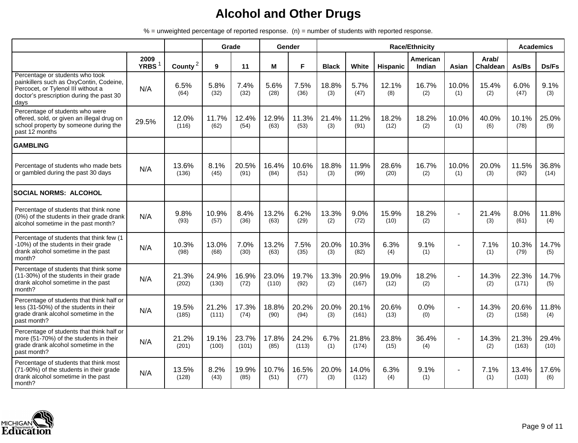|                                                                                                                                                                      |                  |                |                | Grade          |                | Gender         |              |                |                 | <b>Race/Ethnicity</b> |              |                   |                | <b>Academics</b> |
|----------------------------------------------------------------------------------------------------------------------------------------------------------------------|------------------|----------------|----------------|----------------|----------------|----------------|--------------|----------------|-----------------|-----------------------|--------------|-------------------|----------------|------------------|
|                                                                                                                                                                      | 2009<br>YRBS $1$ | County $^2$    | 9              | 11             | M              | F              | <b>Black</b> | White          | <b>Hispanic</b> | American<br>Indian    | Asian        | Arab/<br>Chaldean | As/Bs          | Ds/Fs            |
| Percentage or students who took<br>painkillers such as OxyContin, Codeine,<br>Percocet, or Tylenol III without a<br>doctor's prescription during the past 30<br>days | N/A              | 6.5%<br>(64)   | 5.8%<br>(32)   | 7.4%<br>(32)   | 5.6%<br>(28)   | 7.5%<br>(36)   | 18.8%<br>(3) | 5.7%<br>(47)   | 12.1%<br>(8)    | 16.7%<br>(2)          | 10.0%<br>(1) | 15.4%<br>(2)      | 6.0%<br>(47)   | 9.1%<br>(3)      |
| Percentage of students who were<br>offered, sold, or given an illegal drug on<br>school property by someone during the<br>past 12 months                             | 29.5%            | 12.0%<br>(116) | 11.7%<br>(62)  | 12.4%<br>(54)  | 12.9%<br>(63)  | 11.3%<br>(53)  | 21.4%<br>(3) | 11.2%<br>(91)  | 18.2%<br>(12)   | 18.2%<br>(2)          | 10.0%<br>(1) | 40.0%<br>(6)      | 10.1%<br>(78)  | 25.0%<br>(9)     |
| <b>GAMBLING</b>                                                                                                                                                      |                  |                |                |                |                |                |              |                |                 |                       |              |                   |                |                  |
| Percentage of students who made bets<br>or gambled during the past 30 days                                                                                           | N/A              | 13.6%<br>(136) | 8.1%<br>(45)   | 20.5%<br>(91)  | 16.4%<br>(84)  | 10.6%<br>(51)  | 18.8%<br>(3) | 11.9%<br>(99)  | 28.6%<br>(20)   | 16.7%<br>(2)          | 10.0%<br>(1) | 20.0%<br>(3)      | 11.5%<br>(92)  | 36.8%<br>(14)    |
| <b>SOCIAL NORMS: ALCOHOL</b>                                                                                                                                         |                  |                |                |                |                |                |              |                |                 |                       |              |                   |                |                  |
| Percentage of students that think none<br>(0%) of the students in their grade drank<br>alcohol sometime in the past month?                                           | N/A              | 9.8%<br>(93)   | 10.9%<br>(57)  | 8.4%<br>(36)   | 13.2%<br>(63)  | 6.2%<br>(29)   | 13.3%<br>(2) | 9.0%<br>(72)   | 15.9%<br>(10)   | 18.2%<br>(2)          |              | 21.4%<br>(3)      | 8.0%<br>(61)   | 11.8%<br>(4)     |
| Percentage of students that think few (1<br>-10%) of the students in their grade<br>drank alcohol sometime in the past<br>month?                                     | N/A              | 10.3%<br>(98)  | 13.0%<br>(68)  | 7.0%<br>(30)   | 13.2%<br>(63)  | 7.5%<br>(35)   | 20.0%<br>(3) | 10.3%<br>(82)  | 6.3%<br>(4)     | 9.1%<br>(1)           |              | 7.1%<br>(1)       | 10.3%<br>(79)  | 14.7%<br>(5)     |
| Percentage of students that think some<br>(11-30%) of the students in their grade<br>drank alcohol sometime in the past<br>month?                                    | N/A              | 21.3%<br>(202) | 24.9%<br>(130) | 16.9%<br>(72)  | 23.0%<br>(110) | 19.7%<br>(92)  | 13.3%<br>(2) | 20.9%<br>(167) | 19.0%<br>(12)   | 18.2%<br>(2)          |              | 14.3%<br>(2)      | 22.3%<br>(171) | 14.7%<br>(5)     |
| Percentage of students that think half or<br>less (31-50%) of the students in their<br>grade drank alcohol sometime in the<br>past month?                            | N/A              | 19.5%<br>(185) | 21.2%<br>(111) | 17.3%<br>(74)  | 18.8%<br>(90)  | 20.2%<br>(94)  | 20.0%<br>(3) | 20.1%<br>(161) | 20.6%<br>(13)   | 0.0%<br>(0)           |              | 14.3%<br>(2)      | 20.6%<br>(158) | 11.8%<br>(4)     |
| Percentage of students that think half or<br>more (51-70%) of the students in their<br>grade drank alcohol sometime in the<br>past month?                            | N/A              | 21.2%<br>(201) | 19.1%<br>(100) | 23.7%<br>(101) | 17.8%<br>(85)  | 24.2%<br>(113) | 6.7%<br>(1)  | 21.8%<br>(174) | 23.8%<br>(15)   | 36.4%<br>(4)          |              | 14.3%<br>(2)      | 21.3%<br>(163) | 29.4%<br>(10)    |
| Percentage of students that think most<br>(71-90%) of the students in their grade<br>drank alcohol sometime in the past<br>month?                                    | N/A              | 13.5%<br>(128) | 8.2%<br>(43)   | 19.9%<br>(85)  | 10.7%<br>(51)  | 16.5%<br>(77)  | 20.0%<br>(3) | 14.0%<br>(112) | 6.3%<br>(4)     | 9.1%<br>(1)           |              | 7.1%<br>(1)       | 13.4%<br>(103) | 17.6%<br>(6)     |

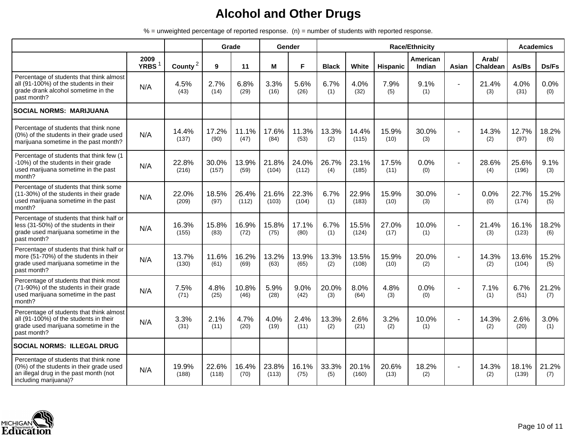|                                                                                                                                                       |                           |                |                | Grade          |                | Gender         |              |                |               | <b>Race/Ethnicity</b> |       |                   |                | <b>Academics</b> |
|-------------------------------------------------------------------------------------------------------------------------------------------------------|---------------------------|----------------|----------------|----------------|----------------|----------------|--------------|----------------|---------------|-----------------------|-------|-------------------|----------------|------------------|
|                                                                                                                                                       | 2009<br>YRBS <sup>1</sup> | County $^2$    | 9              | 11             | М              | F              | <b>Black</b> | White          | Hispanic      | American<br>Indian    | Asian | Arab/<br>Chaldean | As/Bs          | Ds/Fs            |
| Percentage of students that think almost<br>all (91-100%) of the students in their<br>grade drank alcohol sometime in the<br>past month?              | N/A                       | 4.5%<br>(43)   | 2.7%<br>(14)   | 6.8%<br>(29)   | 3.3%<br>(16)   | 5.6%<br>(26)   | 6.7%<br>(1)  | 4.0%<br>(32)   | 7.9%<br>(5)   | 9.1%<br>(1)           |       | 21.4%<br>(3)      | 4.0%<br>(31)   | 0.0%<br>(0)      |
| <b>SOCIAL NORMS: MARIJUANA</b>                                                                                                                        |                           |                |                |                |                |                |              |                |               |                       |       |                   |                |                  |
| Percentage of students that think none<br>(0%) of the students in their grade used<br>marijuana sometime in the past month?                           | N/A                       | 14.4%<br>(137) | 17.2%<br>(90)  | 11.1%<br>(47)  | 17.6%<br>(84)  | 11.3%<br>(53)  | 13.3%<br>(2) | 14.4%<br>(115) | 15.9%<br>(10) | 30.0%<br>(3)          |       | 14.3%<br>(2)      | 12.7%<br>(97)  | 18.2%<br>(6)     |
| Percentage of students that think few (1<br>-10%) of the students in their grade<br>used marijuana sometime in the past<br>month?                     | N/A                       | 22.8%<br>(216) | 30.0%<br>(157) | 13.9%<br>(59)  | 21.8%<br>(104) | 24.0%<br>(112) | 26.7%<br>(4) | 23.1%<br>(185) | 17.5%<br>(11) | 0.0%<br>(0)           |       | 28.6%<br>(4)      | 25.6%<br>(196) | 9.1%<br>(3)      |
| Percentage of students that think some<br>(11-30%) of the students in their grade<br>used marijuana sometime in the past<br>month?                    | N/A                       | 22.0%<br>(209) | 18.5%<br>(97)  | 26.4%<br>(112) | 21.6%<br>(103) | 22.3%<br>(104) | 6.7%<br>(1)  | 22.9%<br>(183) | 15.9%<br>(10) | 30.0%<br>(3)          |       | 0.0%<br>(0)       | 22.7%<br>(174) | 15.2%<br>(5)     |
| Percentage of students that think half or<br>less (31-50%) of the students in their<br>grade used marijuana sometime in the<br>past month?            | N/A                       | 16.3%<br>(155) | 15.8%<br>(83)  | 16.9%<br>(72)  | 15.8%<br>(75)  | 17.1%<br>(80)  | 6.7%<br>(1)  | 15.5%<br>(124) | 27.0%<br>(17) | 10.0%<br>(1)          |       | 21.4%<br>(3)      | 16.1%<br>(123) | 18.2%<br>(6)     |
| Percentage of students that think half or<br>more (51-70%) of the students in their<br>grade used marijuana sometime in the<br>past month?            | N/A                       | 13.7%<br>(130) | 11.6%<br>(61)  | 16.2%<br>(69)  | 13.2%<br>(63)  | 13.9%<br>(65)  | 13.3%<br>(2) | 13.5%<br>(108) | 15.9%<br>(10) | 20.0%<br>(2)          |       | 14.3%<br>(2)      | 13.6%<br>(104) | 15.2%<br>(5)     |
| Percentage of students that think most<br>(71-90%) of the students in their grade<br>used marijuana sometime in the past<br>month?                    | N/A                       | 7.5%<br>(71)   | 4.8%<br>(25)   | 10.8%<br>(46)  | 5.9%<br>(28)   | 9.0%<br>(42)   | 20.0%<br>(3) | 8.0%<br>(64)   | 4.8%<br>(3)   | 0.0%<br>(0)           |       | 7.1%<br>(1)       | 6.7%<br>(51)   | 21.2%<br>(7)     |
| Percentage of students that think almost<br>all (91-100%) of the students in their<br>grade used marijuana sometime in the<br>past month?             | N/A                       | 3.3%<br>(31)   | 2.1%<br>(11)   | 4.7%<br>(20)   | 4.0%<br>(19)   | 2.4%<br>(11)   | 13.3%<br>(2) | 2.6%<br>(21)   | 3.2%<br>(2)   | 10.0%<br>(1)          |       | 14.3%<br>(2)      | 2.6%<br>(20)   | 3.0%<br>(1)      |
| <b>SOCIAL NORMS: ILLEGAL DRUG</b>                                                                                                                     |                           |                |                |                |                |                |              |                |               |                       |       |                   |                |                  |
| Percentage of students that think none<br>(0%) of the students in their grade used<br>an illegal drug in the past month (not<br>including marijuana)? | N/A                       | 19.9%<br>(188) | 22.6%<br>(118) | 16.4%<br>(70)  | 23.8%<br>(113) | 16.1%<br>(75)  | 33.3%<br>(5) | 20.1%<br>(160) | 20.6%<br>(13) | 18.2%<br>(2)          |       | 14.3%<br>(2)      | 18.1%<br>(139) | 21.2%<br>(7)     |